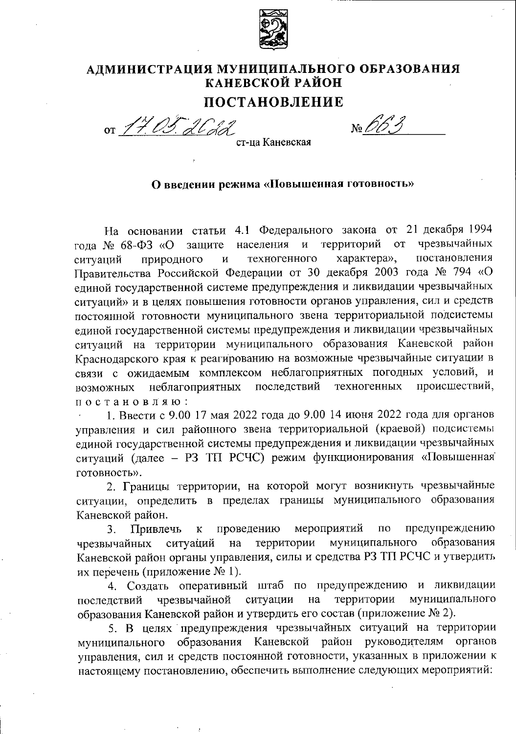

# АДМИНИСТРАЦИЯ МУНИЦИПАЛЬНОГО ОБРАЗОВАНИЯ КАНЕВСКОЙ РАЙОН

## ПОСТАНОВЛЕНИЕ

or 17.05. 2Cdd

 $N<sub>2</sub>$  663

ст-ца Каневская

#### О введении режима «Повышенная готовность»

На основании статьи 4.1 Федерального закона от 21 декабря 1994 чрезвычайных населения и территорий года № 68-ФЗ «О защите **OT** постановления техногенного характера», природного ситуаций  $\mathbf{M}$ Правительства Российской Федерации от 30 декабря 2003 года № 794 «О единой государственной системе предупреждения и ликвидации чрезвычайных ситуаций» и в целях повышения готовности органов управления, сил и средств постоянной готовности муниципального звена территориальной подсистемы единой государственной системы предупреждения и ликвидации чрезвычайных ситуаций на территории муниципального образования Каневской район Краснодарского края к реагированию на возможные чрезвычайные ситуации в связи с ожидаемым комплексом неблагоприятных погодных условий, и последствий техногенных происшествий, неблагоприятных возможных постановляю:

1. Ввести с 9.00 17 мая 2022 года до 9.00 14 июня 2022 года для органов управления и сил районного звена территориальной (краевой) подсистемы единой государственной системы предупреждения и ликвидации чрезвычайных ситуаций (далее - РЗ ТП РСЧС) режим функционирования «Повышенная готовность».

2. Границы территории, на которой могут возникнуть чрезвычайные ситуации, определить в пределах границы муниципального образования Каневской район.

Привлечь проведению мероприятий  $\overline{110}$ предупреждению 3.  $\bf K$ образования чрезвычайных территории муниципального ситуаций на Каневской район органы управления, силы и средства РЗ ТП РСЧС и утвердить их перечень (приложение № 1).

4. Создать оперативный штаб по предупреждению и ликвидации чрезвычайной ситуации территории муниципального на последствий образования Каневской район и утвердить его состав (приложение № 2).

5. В целях предупреждения чрезвычайных ситуаций на территории муниципального образования Каневской район руководителям органов управления, сил и средств постоянной готовности, указанных в приложении к настоящему постановлению, обеспечить выполнение следующих мероприятий: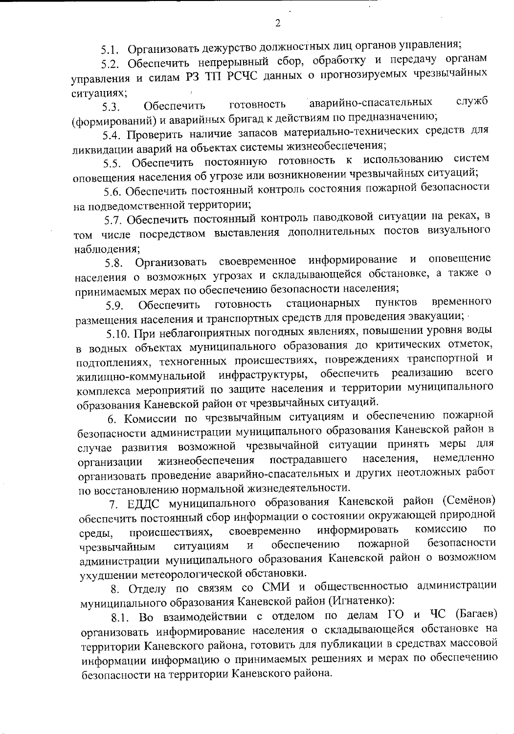5.1. Организовать дежурство должностных лиц органов управления;

5.2. Обеспечить непрерывный сбор, обработку и передачу органам управления и силам РЗ ТП РСЧС данных о прогнозируемых чрезвычайных ситуациях;

аварийно-спасательных служб готовность **Обеспечить**  $5.3.$ (формирований) и аварийных бригад к действиям по предназначению;

5.4. Проверить наличие запасов материально-технических средств для ликвидации аварий на объектах системы жизнеобеспечения;

5.5. Обеспечить постоянную готовность к использованию систем оповещения населения об угрозе или возникновении чрезвычайных ситуаций;

5.6. Обеспечить постоянный контроль состояния пожарной безопасности на подведомственной территории;

5.7. Обеспечить постоянный контроль паводковой ситуации на реках, в том числе посредством выставления дополнительных постов визуального наблюдения;

оповещение информирование  $\mathbf{M}$ своевременное Организовать  $5.8.$ населения о возможных угрозах и складывающейся обстановке, а также о принимаемых мерах по обеспечению безопасности населения;

временного ПУНКТОВ стационарных готовность 5.9. Обеспечить размещения населения и транспортных средств для проведения эвакуации;

5.10. При неблагоприятных погодных явлениях, повышении уровня воды в водных объектах муниципального образования до критических отметок, подтоплениях, техногенных происшествиях, повреждениях транспортной и обеспечить реализацию всего инфраструктуры, жилищно-коммунальной комплекса мероприятий по защите населения и территории муниципального образования Каневской район от чрезвычайных ситуаций.

6. Комиссии по чрезвычайным ситуациям и обеспечению пожарной безопасности администрации муниципального образования Каневской район в случае развития возможной чрезвычайной ситуации принять меры для населения, немедленно пострадавшего жизнеобеспечения организации организовать проведение аварийно-спасательных и других неотложных работ по восстановлению нормальной жизнедеятельности.

7. ЕДДС муниципального образования Каневской район (Семёнов) обеспечить постоянный сбор информации о состоянии окружающей природной информировать комиссию **TIO** своевременно происшествиях, среды, безопасности пожарной обеспечению чрезвычайным ситуациям  $\overline{\mathbf{M}}$ администрации муниципального образования Каневской район о возможном ухудшении метеорологической обстановки.

8. Отделу по связям со СМИ и общественностью администрации муниципального образования Каневской район (Игнатенко):

8.1. Во взаимодействии с отделом по делам ГО и ЧС (Багаев) организовать информирование населения о складывающейся обстановке на территории Каневского района, готовить для публикации в средствах массовой информации информацию о принимаемых решениях и мерах по обеспечению безопасности на территории Каневского района.

 $\overline{2}$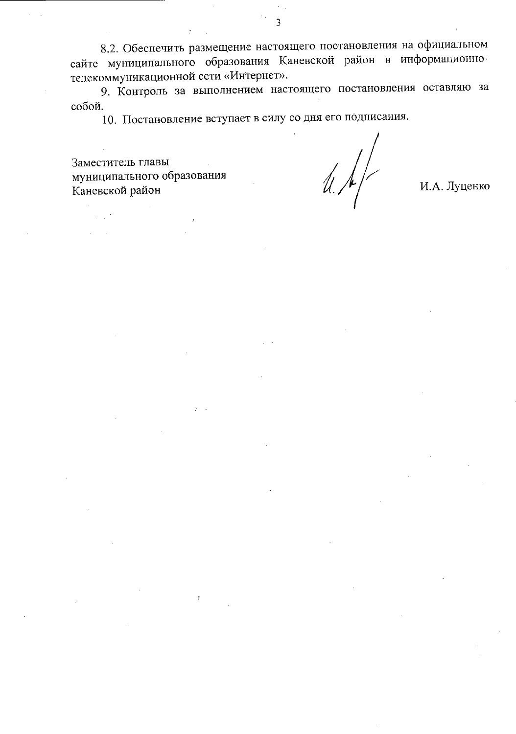8.2. Обеспечить размещение настоящего постановления на официальном сайте муниципального образования Каневской район в информационнотелекоммуникационной сети «Интернет».

9. Контроль за выполнением настоящего постановления оставляю за собой.

10. Постановление вступает в силу со дня его подписания.

Заместитель главы муниципального образования Каневской район

 $\mathcal{U}$ 

И.А. Луценко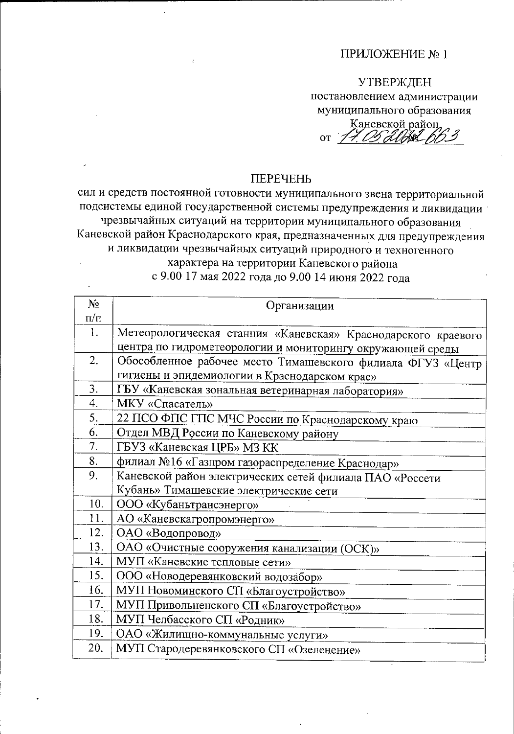### ПРИЛОЖЕНИЕ №1

# **УТВЕРЖДЕН** постановлением администрации муниципального образования

Каневской район, OT 17 052088 663

### **ПЕРЕЧЕНЬ**

сил и средств постоянной готовности муниципального звена территориальной подсистемы единой государственной системы предупреждения и ликвидации чрезвычайных ситуаций на территории муниципального образования Каневской район Краснодарского края, предназначенных для предупреждения и ликвидации чрезвычайных ситуаций природного и техногенного характера на территории Каневского района

с 9.00 17 мая 2022 года до 9.00 14 июня 2022 года

| $\mathbf{N}$ <sup>o</sup> | Организации                                                   |
|---------------------------|---------------------------------------------------------------|
| $\pi/\pi$                 |                                                               |
| 1.                        | Метеорологическая станция «Каневская» Краснодарского краевого |
|                           | центра по гидрометеорологии и мониторингу окружающей среды    |
| 2.                        | Обособленное рабочее место Тимашевского филиала ФГУЗ «Центр   |
|                           | гигиены и эпидемиологии в Краснодарском крае»                 |
| 3.                        | ГБУ «Каневская зональная ветеринарная лаборатория»            |
| 4.                        | МКУ «Спасатель»                                               |
| 5.                        | 22 ПСО ФПС ГПС МЧС России по Краснодарскому краю              |
| 6.                        | Отдел МВД России по Каневскому району                         |
| 7.                        | ГБУЗ «Каневская ЦРБ» МЗ КК                                    |
| 8.                        | филиал №16 «Газпром газораспределение Краснодар»              |
| 9.                        | Каневской район электрических сетей филиала ПАО «Россети      |
|                           | Кубань» Тимашевские электрические сети                        |
| 10.                       | ООО «Кубаньтрансэнерго»                                       |
| 11.                       | АО «Каневскагропромэнерго»                                    |
| 12.                       | ОАО «Водопровод»                                              |
| 13.                       | ОАО «Очистные сооружения канализации (ОСК)»                   |
| 14.                       | МУП «Каневские тепловые сети»                                 |
| 15.                       | ООО «Новодеревянковский водозабор»                            |
| 16.                       | МУП Новоминского СП «Благоустройство»                         |
| 17.                       | МУП Привольненского СП «Благоустройство»                      |
| 18.                       | МУП Челбасского СП «Родник»                                   |
| 19.                       | ОАО «Жилищно-коммунальные услуги»                             |
| 20.                       | МУП Стародеревянковского СП «Озеленение»                      |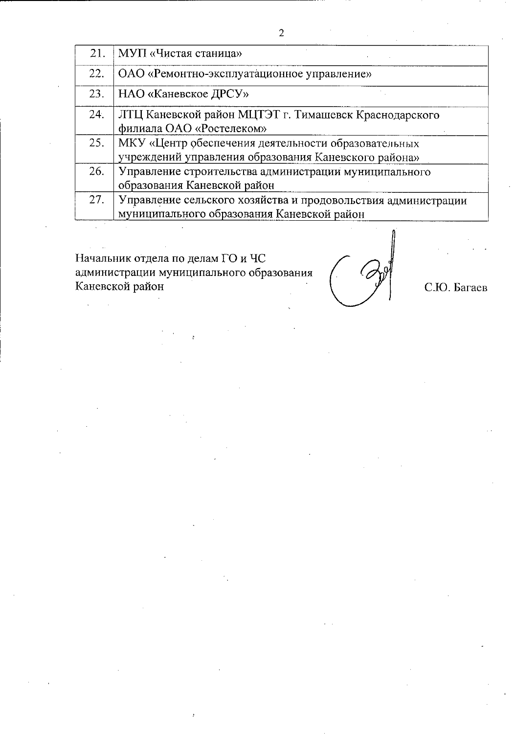| 21. | МУП «Чистая станица»                                                                                        |
|-----|-------------------------------------------------------------------------------------------------------------|
| 22. | ОАО «Ремонтно-эксплуатационное управление»                                                                  |
| 23. | НАО «Каневское ДРСУ»                                                                                        |
| 24. | ЛТЦ Каневской район МЦТЭТ г. Тимашевск Краснодарского<br>филиала ОАО «Ростелеком»                           |
| 25. | МКУ «Центр обеспечения деятельности образовательных<br>учреждений управления образования Каневского района» |
| 26. | Управление строительства администрации муниципального<br>образования Каневской район                        |
| 27. | Управление сельского хозяйства и продовольствия администрации<br>муниципального образования Каневской район |

Начальник отдела по делам ГО и ЧС администрации муниципального образования Каневской район

 $\frac{1}{2}$ 

С.Ю. Багаев